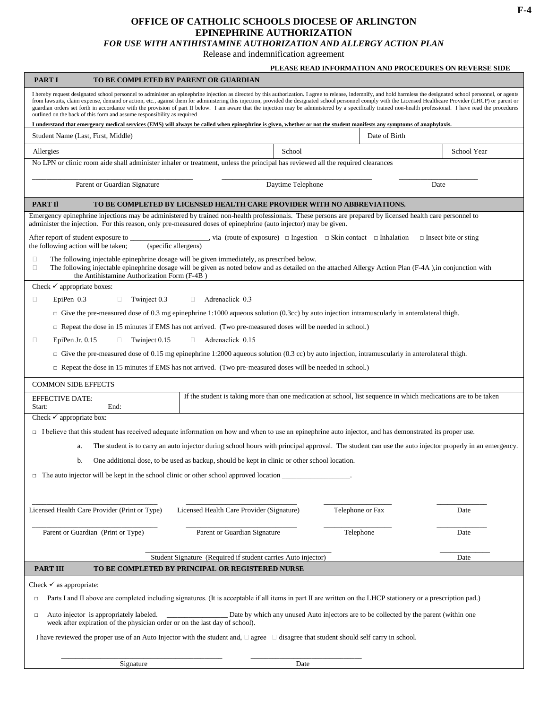## **OFFICE OF CATHOLIC SCHOOLS DIOCESE OF ARLINGTON EPINEPHRINE AUTHORIZATION**

*FOR USE WITH ANTIHISTAMINE AUTHORIZATION AND ALLERGY ACTION PLAN*

Release and indemnification agreement

|                                                                                                                                                                                                                                                                                                                                                                                                                                                                                                                                                                                                                                                                                                                                 |                                                                                                                                                                                                                                                         | PLEASE READ INFORMATION AND PROCEDURES ON REVERSE SIDE                                |                  |                             |
|---------------------------------------------------------------------------------------------------------------------------------------------------------------------------------------------------------------------------------------------------------------------------------------------------------------------------------------------------------------------------------------------------------------------------------------------------------------------------------------------------------------------------------------------------------------------------------------------------------------------------------------------------------------------------------------------------------------------------------|---------------------------------------------------------------------------------------------------------------------------------------------------------------------------------------------------------------------------------------------------------|---------------------------------------------------------------------------------------|------------------|-----------------------------|
| <b>PART I</b>                                                                                                                                                                                                                                                                                                                                                                                                                                                                                                                                                                                                                                                                                                                   | TO BE COMPLETED BY PARENT OR GUARDIAN                                                                                                                                                                                                                   |                                                                                       |                  |                             |
| I hereby request designated school personnel to administer an epinephrine injection as directed by this authorization. I agree to release, indemnify, and hold harmless the designated school personnel, or agents<br>from lawsuits, claim expense, demand or action, etc., against them for administering this injection, provided the designated school personnel comply with the Licensed Healthcare Provider (LHCP) or parent or<br>guardian orders set forth in accordance with the provision of part II below. I am aware that the injection may be administered by a specifically trained non-health professional. I have read the procedures<br>outlined on the back of this form and assume responsibility as required |                                                                                                                                                                                                                                                         |                                                                                       |                  |                             |
| I understand that emergency medical services (EMS) will always be called when epinephrine is given, whether or not the student manifests any symptoms of anaphylaxis.                                                                                                                                                                                                                                                                                                                                                                                                                                                                                                                                                           |                                                                                                                                                                                                                                                         |                                                                                       |                  |                             |
| Student Name (Last, First, Middle)                                                                                                                                                                                                                                                                                                                                                                                                                                                                                                                                                                                                                                                                                              |                                                                                                                                                                                                                                                         |                                                                                       | Date of Birth    |                             |
| Allergies                                                                                                                                                                                                                                                                                                                                                                                                                                                                                                                                                                                                                                                                                                                       |                                                                                                                                                                                                                                                         | School                                                                                |                  | School Year                 |
| No LPN or clinic room aide shall administer inhaler or treatment, unless the principal has reviewed all the required clearances                                                                                                                                                                                                                                                                                                                                                                                                                                                                                                                                                                                                 |                                                                                                                                                                                                                                                         |                                                                                       |                  |                             |
| Parent or Guardian Signature                                                                                                                                                                                                                                                                                                                                                                                                                                                                                                                                                                                                                                                                                                    |                                                                                                                                                                                                                                                         | Daytime Telephone                                                                     | Date             |                             |
| <b>PART II</b><br>TO BE COMPLETED BY LICENSED HEALTH CARE PROVIDER WITH NO ABBREVIATIONS.                                                                                                                                                                                                                                                                                                                                                                                                                                                                                                                                                                                                                                       |                                                                                                                                                                                                                                                         |                                                                                       |                  |                             |
| Emergency epinephrine injections may be administered by trained non-health professionals. These persons are prepared by licensed health care personnel to<br>administer the injection. For this reason, only pre-measured doses of epinephrine (auto injector) may be given.                                                                                                                                                                                                                                                                                                                                                                                                                                                    |                                                                                                                                                                                                                                                         |                                                                                       |                  |                             |
| After report of student exposure to _______________________, via (route of exposure) $\Box$ Ingestion $\Box$ Skin contact $\Box$ Inhalation<br>the following action will be taken;                                                                                                                                                                                                                                                                                                                                                                                                                                                                                                                                              | (specific allergens)                                                                                                                                                                                                                                    |                                                                                       |                  | $\Box$ Insect bite or sting |
| O<br>$\Box$<br>the Antihistamine Authorization Form (F-4B)                                                                                                                                                                                                                                                                                                                                                                                                                                                                                                                                                                                                                                                                      | The following injectable epinephrine dosage will be given immediately, as prescribed below.<br>The following injectable epinephrine dosage will be given as noted below and as detailed on the attached Allergy Action Plan (F-4A), in conjunction with |                                                                                       |                  |                             |
| Check $\checkmark$ appropriate boxes:                                                                                                                                                                                                                                                                                                                                                                                                                                                                                                                                                                                                                                                                                           |                                                                                                                                                                                                                                                         |                                                                                       |                  |                             |
| EpiPen 0.3<br>Twinject 0.3<br>Adrenaclick 0.3<br>0<br>$\Box$<br>$\Box$                                                                                                                                                                                                                                                                                                                                                                                                                                                                                                                                                                                                                                                          |                                                                                                                                                                                                                                                         |                                                                                       |                  |                             |
| $\Box$ Give the pre-measured dose of 0.3 mg epinephrine 1:1000 aqueous solution (0.3cc) by auto injection intramuscularly in anterolateral thigh.                                                                                                                                                                                                                                                                                                                                                                                                                                                                                                                                                                               |                                                                                                                                                                                                                                                         |                                                                                       |                  |                             |
| $\Box$ Repeat the dose in 15 minutes if EMS has not arrived. (Two pre-measured doses will be needed in school.)                                                                                                                                                                                                                                                                                                                                                                                                                                                                                                                                                                                                                 |                                                                                                                                                                                                                                                         |                                                                                       |                  |                             |
| EpiPen Jr. $0.15$<br>Twinject 0.15<br>Adrenaclick 0.15<br>$\Box$<br>$\Box$<br>O                                                                                                                                                                                                                                                                                                                                                                                                                                                                                                                                                                                                                                                 |                                                                                                                                                                                                                                                         |                                                                                       |                  |                             |
| $\Box$ Give the pre-measured dose of 0.15 mg epinephrine 1:2000 aqueous solution (0.3 cc) by auto injection, intramuscularly in anterolateral thigh.                                                                                                                                                                                                                                                                                                                                                                                                                                                                                                                                                                            |                                                                                                                                                                                                                                                         |                                                                                       |                  |                             |
|                                                                                                                                                                                                                                                                                                                                                                                                                                                                                                                                                                                                                                                                                                                                 | $\Box$ Repeat the dose in 15 minutes if EMS has not arrived. (Two pre-measured doses will be needed in school.)                                                                                                                                         |                                                                                       |                  |                             |
| <b>COMMON SIDE EFFECTS</b>                                                                                                                                                                                                                                                                                                                                                                                                                                                                                                                                                                                                                                                                                                      |                                                                                                                                                                                                                                                         |                                                                                       |                  |                             |
| <b>EFFECTIVE DATE:</b>                                                                                                                                                                                                                                                                                                                                                                                                                                                                                                                                                                                                                                                                                                          | If the student is taking more than one medication at school, list sequence in which medications are to be taken                                                                                                                                         |                                                                                       |                  |                             |
| End:<br>Start:                                                                                                                                                                                                                                                                                                                                                                                                                                                                                                                                                                                                                                                                                                                  |                                                                                                                                                                                                                                                         |                                                                                       |                  |                             |
| Check $\overline{\smile}$ appropriate box:                                                                                                                                                                                                                                                                                                                                                                                                                                                                                                                                                                                                                                                                                      |                                                                                                                                                                                                                                                         |                                                                                       |                  |                             |
| $\Box$ I believe that this student has received adequate information on how and when to use an epinephrine auto injector, and has demonstrated its proper use.                                                                                                                                                                                                                                                                                                                                                                                                                                                                                                                                                                  |                                                                                                                                                                                                                                                         |                                                                                       |                  |                             |
| a.                                                                                                                                                                                                                                                                                                                                                                                                                                                                                                                                                                                                                                                                                                                              | The student is to carry an auto injector during school hours with principal approval. The student can use the auto injector properly in an emergency.                                                                                                   |                                                                                       |                  |                             |
| One additional dose, to be used as backup, should be kept in clinic or other school location.<br>b.                                                                                                                                                                                                                                                                                                                                                                                                                                                                                                                                                                                                                             |                                                                                                                                                                                                                                                         |                                                                                       |                  |                             |
| $\Box$ The auto injector will be kept in the school clinic or other school approved location                                                                                                                                                                                                                                                                                                                                                                                                                                                                                                                                                                                                                                    |                                                                                                                                                                                                                                                         |                                                                                       |                  |                             |
|                                                                                                                                                                                                                                                                                                                                                                                                                                                                                                                                                                                                                                                                                                                                 |                                                                                                                                                                                                                                                         |                                                                                       |                  |                             |
|                                                                                                                                                                                                                                                                                                                                                                                                                                                                                                                                                                                                                                                                                                                                 |                                                                                                                                                                                                                                                         |                                                                                       |                  |                             |
| Licensed Health Care Provider (Print or Type)                                                                                                                                                                                                                                                                                                                                                                                                                                                                                                                                                                                                                                                                                   | Licensed Health Care Provider (Signature)                                                                                                                                                                                                               |                                                                                       | Telephone or Fax | Date                        |
| Parent or Guardian (Print or Type)                                                                                                                                                                                                                                                                                                                                                                                                                                                                                                                                                                                                                                                                                              | Parent or Guardian Signature                                                                                                                                                                                                                            |                                                                                       | Telephone        | Date                        |
|                                                                                                                                                                                                                                                                                                                                                                                                                                                                                                                                                                                                                                                                                                                                 | Student Signature (Required if student carries Auto injector)                                                                                                                                                                                           |                                                                                       |                  | Date                        |
| <b>PART III</b>                                                                                                                                                                                                                                                                                                                                                                                                                                                                                                                                                                                                                                                                                                                 | TO BE COMPLETED BY PRINCIPAL OR REGISTERED NURSE                                                                                                                                                                                                        |                                                                                       |                  |                             |
| Check $\checkmark$ as appropriate:                                                                                                                                                                                                                                                                                                                                                                                                                                                                                                                                                                                                                                                                                              |                                                                                                                                                                                                                                                         |                                                                                       |                  |                             |
| Parts I and II above are completed including signatures. (It is acceptable if all items in part II are written on the LHCP stationery or a prescription pad.)<br>$\Box$                                                                                                                                                                                                                                                                                                                                                                                                                                                                                                                                                         |                                                                                                                                                                                                                                                         |                                                                                       |                  |                             |
| Auto injector is appropriately labeled.<br>$\Box$<br>week after expiration of the physician order or on the last day of school).                                                                                                                                                                                                                                                                                                                                                                                                                                                                                                                                                                                                |                                                                                                                                                                                                                                                         | Date by which any unused Auto injectors are to be collected by the parent (within one |                  |                             |
| I have reviewed the proper use of an Auto Injector with the student and, $\Box$ agree $\Box$ disagree that student should self carry in school.                                                                                                                                                                                                                                                                                                                                                                                                                                                                                                                                                                                 |                                                                                                                                                                                                                                                         |                                                                                       |                  |                             |
|                                                                                                                                                                                                                                                                                                                                                                                                                                                                                                                                                                                                                                                                                                                                 |                                                                                                                                                                                                                                                         |                                                                                       |                  |                             |
| Signature                                                                                                                                                                                                                                                                                                                                                                                                                                                                                                                                                                                                                                                                                                                       |                                                                                                                                                                                                                                                         | Date                                                                                  |                  |                             |